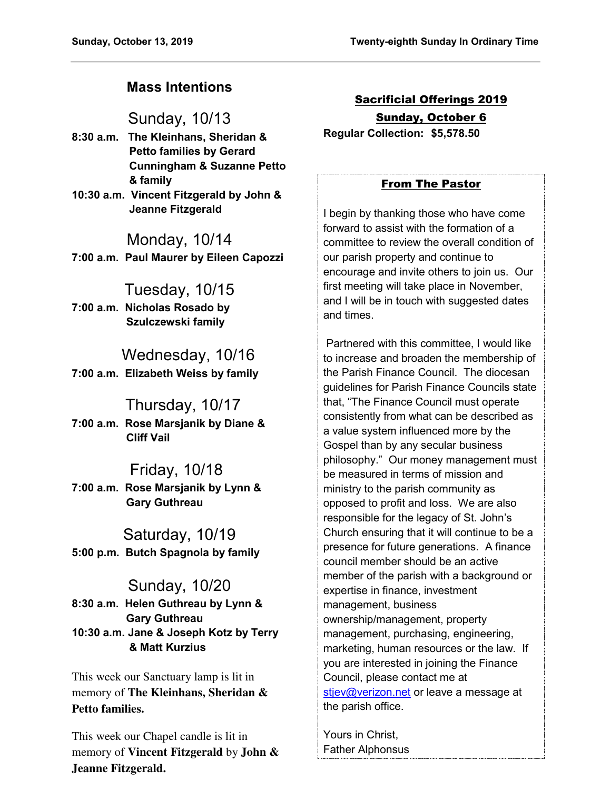# **Mass Intentions**

Sunday, 10/13

- **8:30 a.m. The Kleinhans, Sheridan & Petto families by Gerard Cunningham & Suzanne Petto & family**
- **10:30 a.m. Vincent Fitzgerald by John & Jeanne Fitzgerald**

Monday, 10/14 **7:00 a.m. Paul Maurer by Eileen Capozzi** 

Tuesday, 10/15 **7:00 a.m. Nicholas Rosado by Szulczewski family** 

 Wednesday, 10/16 **7:00 a.m. Elizabeth Weiss by family** 

# Thursday, 10/17

**7:00 a.m. Rose Marsjanik by Diane & Cliff Vail** 

# Friday, 10/18

**7:00 a.m. Rose Marsjanik by Lynn & Gary Guthreau** 

Saturday, 10/19 **5:00 p.m. Butch Spagnola by family** 

Sunday, 10/20 **8:30 a.m. Helen Guthreau by Lynn & Gary Guthreau 10:30 a.m. Jane & Joseph Kotz by Terry & Matt Kurzius** 

This week our Sanctuary lamp is lit in memory of **The Kleinhans, Sheridan & Petto families.** 

This week our Chapel candle is lit in memory of **Vincent Fitzgerald** by **John & Jeanne Fitzgerald.** 

Sacrificial Offerings 2019 Sunday, October 6 **Regular Collection: \$5,578.50**

### From The Pastor

I begin by thanking those who have come forward to assist with the formation of a committee to review the overall condition of our parish property and continue to encourage and invite others to join us. Our first meeting will take place in November, and I will be in touch with suggested dates and times.

 Partnered with this committee, I would like to increase and broaden the membership of the Parish Finance Council. The diocesan guidelines for Parish Finance Councils state that, "The Finance Council must operate consistently from what can be described as a value system influenced more by the Gospel than by any secular business philosophy." Our money management must be measured in terms of mission and ministry to the parish community as opposed to profit and loss. We are also responsible for the legacy of St. John's Church ensuring that it will continue to be a presence for future generations. A finance council member should be an active member of the parish with a background or expertise in finance, investment management, business ownership/management, property management, purchasing, engineering, marketing, human resources or the law. If you are interested in joining the Finance Council, please contact me at [stjev@verizon.net](mailto:stjev@verizon.net) or leave a message at the parish office.

Yours in Christ, Father Alphonsus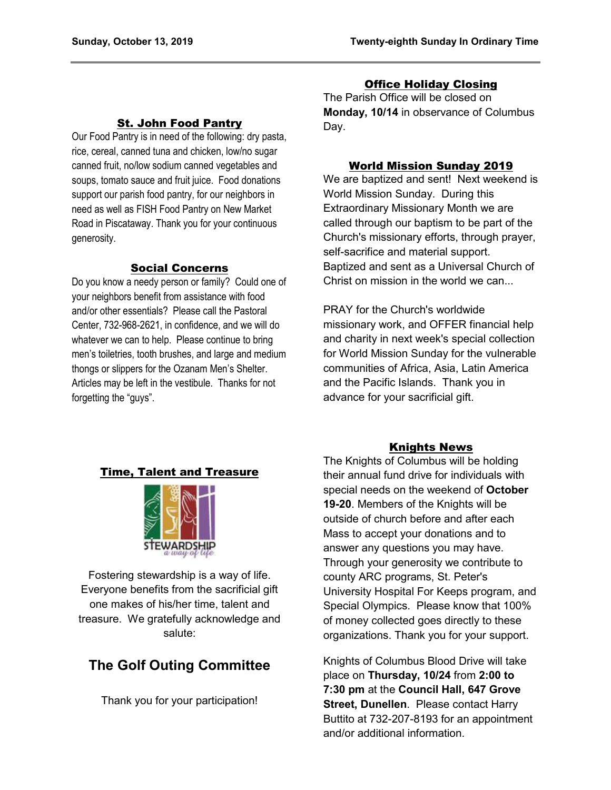### St. John Food Pantry

Our Food Pantry is in need of the following: dry pasta, rice, cereal, canned tuna and chicken, low/no sugar canned fruit, no/low sodium canned vegetables and soups, tomato sauce and fruit juice. Food donations support our parish food pantry, for our neighbors in need as well as FISH Food Pantry on New Market Road in Piscataway. Thank you for your continuous generosity.

### Social Concerns

Do you know a needy person or family? Could one of your neighbors benefit from assistance with food and/or other essentials? Please call the Pastoral Center, 732-968-2621, in confidence, and we will do whatever we can to help. Please continue to bring men's toiletries, tooth brushes, and large and medium thongs or slippers for the Ozanam Men's Shelter. Articles may be left in the vestibule. Thanks for not forgetting the "guys".

### Office Holiday Closing

The Parish Office will be closed on **Monday, 10/14** in observance of Columbus Day.

### World Mission Sunday 2019

We are baptized and sent! Next weekend is World Mission Sunday. During this Extraordinary Missionary Month we are called through our baptism to be part of the Church's missionary efforts, through prayer, self-sacrifice and material support. Baptized and sent as a Universal Church of Christ on mission in the world we can...

PRAY for the Church's worldwide missionary work, and OFFER financial help and charity in next week's special collection for World Mission Sunday for the vulnerable communities of Africa, Asia, Latin America and the Pacific Islands. Thank you in advance for your sacrificial gift.

### Knights News

The Knights of Columbus will be holding their annual fund drive for individuals with special needs on the weekend of **October 19-20**. Members of the Knights will be outside of church before and after each Mass to accept your donations and to answer any questions you may have. Through your generosity we contribute to county ARC programs, St. Peter's University Hospital For Keeps program, and Special Olympics. Please know that 100% of money collected goes directly to these organizations. Thank you for your support.

Knights of Columbus Blood Drive will take place on **Thursday, 10/24** from **2:00 to 7:30 pm** at the **Council Hall, 647 Grove Street, Dunellen**. Please contact Harry Buttito at 732-207-8193 for an appointment and/or additional information.

### Time, Talent and Treasure



Fostering stewardship is a way of life. Everyone benefits from the sacrificial gift one makes of his/her time, talent and treasure. We gratefully acknowledge and salute:

# **The Golf Outing Committee**

Thank you for your participation!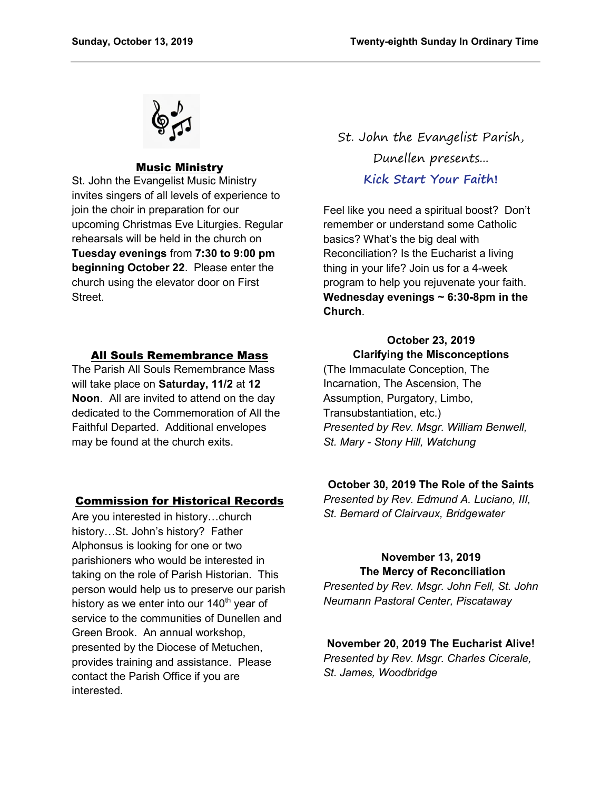

#### Music Ministry

St. John the Evangelist Music Ministry invites singers of all levels of experience to join the choir in preparation for our upcoming Christmas Eve Liturgies. Regular rehearsals will be held in the church on **Tuesday evenings** from **7:30 to 9:00 pm beginning October 22**. Please enter the church using the elevator door on First Street.

#### All Souls Remembrance Mass

The Parish All Souls Remembrance Mass will take place on **Saturday, 11/2** at **12 Noon**. All are invited to attend on the day dedicated to the Commemoration of All the Faithful Departed. Additional envelopes may be found at the church exits.

#### Commission for Historical Records

Are you interested in history…church history…St. John's history? Father Alphonsus is looking for one or two parishioners who would be interested in taking on the role of Parish Historian. This person would help us to preserve our parish history as we enter into our  $140<sup>th</sup>$  year of service to the communities of Dunellen and Green Brook. An annual workshop, presented by the Diocese of Metuchen, provides training and assistance. Please contact the Parish Office if you are interested.

St. John the Evangelist Parish, Dunellen presents... **Kick Start Your Faith!**

Feel like you need a spiritual boost? Don't remember or understand some Catholic basics? What's the big deal with Reconciliation? Is the Eucharist a living thing in your life? Join us for a 4-week program to help you rejuvenate your faith. **Wednesday evenings ~ 6:30-8pm in the Church**.

### **October 23, 2019 Clarifying the Misconceptions**

(The Immaculate Conception, The Incarnation, The Ascension, The Assumption, Purgatory, Limbo, Transubstantiation, etc.) *Presented by Rev. Msgr. William Benwell, St. Mary - Stony Hill, Watchung* 

#### **October 30, 2019 The Role of the Saints**

*Presented by Rev. Edmund A. Luciano, III, St. Bernard of Clairvaux, Bridgewater* 

### **November 13, 2019 The Mercy of Reconciliation**

*Presented by Rev. Msgr. John Fell, St. John Neumann Pastoral Center, Piscataway* 

### **November 20, 2019 The Eucharist Alive!** *Presented by Rev. Msgr. Charles Cicerale, St. James, Woodbridge*